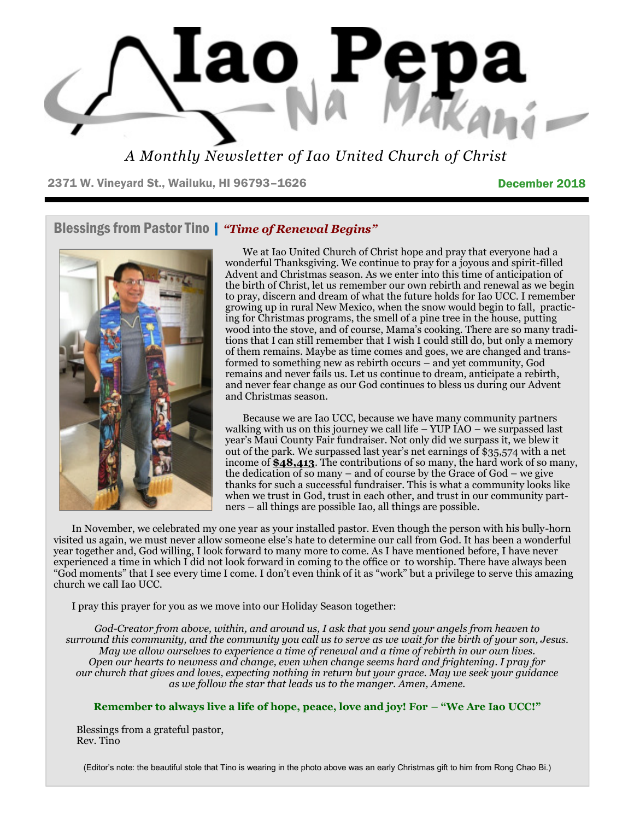

*A Monthly Newsletter of Iao United Church of Christ*

2371 W. Vineyard St., Wailuku, HI 96793-1626 December 2018

## Blessings from Pastor Tino | *"Time of Renewal Begins"*



 We at Iao United Church of Christ hope and pray that everyone had a wonderful Thanksgiving. We continue to pray for a joyous and spirit-filled Advent and Christmas season. As we enter into this time of anticipation of the birth of Christ, let us remember our own rebirth and renewal as we begin to pray, discern and dream of what the future holds for Iao UCC. I remember growing up in rural New Mexico, when the snow would begin to fall, practicing for Christmas programs, the smell of a pine tree in the house, putting wood into the stove, and of course, Mama's cooking. There are so many traditions that I can still remember that I wish I could still do, but only a memory of them remains. Maybe as time comes and goes, we are changed and transformed to something new as rebirth occurs – and yet community, God remains and never fails us. Let us continue to dream, anticipate a rebirth, and never fear change as our God continues to bless us during our Advent and Christmas season.

 Because we are Iao UCC, because we have many community partners walking with us on this journey we call life – YUP IAO – we surpassed last year's Maui County Fair fundraiser. Not only did we surpass it, we blew it out of the park. We surpassed last year's net earnings of \$35,574 with a net income of **\$48,413**. The contributions of so many, the hard work of so many, the dedication of so many – and of course by the Grace of God – we give thanks for such a successful fundraiser. This is what a community looks like when we trust in God, trust in each other, and trust in our community partners – all things are possible Iao, all things are possible.

In November, we celebrated my one year as your installed pastor. Even though the person with his bully-horn visited us again, we must never allow someone else's hate to determine our call from God. It has been a wonderful year together and, God willing, I look forward to many more to come. As I have mentioned before, I have never experienced a time in which I did not look forward in coming to the office or to worship. There have always been "God moments" that I see every time I come. I don't even think of it as "work" but a privilege to serve this amazing church we call Iao UCC.

I pray this prayer for you as we move into our Holiday Season together:

*God-Creator from above, within, and around us, I ask that you send your angels from heaven to surround this community, and the community you call us to serve as we wait for the birth of your son, Jesus. May we allow ourselves to experience a time of renewal and a time of rebirth in our own lives. Open our hearts to newness and change, even when change seems hard and frightening. I pray for our church that gives and loves, expecting nothing in return but your grace. May we seek your guidance as we follow the star that leads us to the manger. Amen, Amene.*

#### **Remember to always live a life of hope, peace, love and joy! For – "We Are Iao UCC!"**

Blessings from a grateful pastor, Rev. Tino

(Editor's note: the beautiful stole that Tino is wearing in the photo above was an early Christmas gift to him from Rong Chao Bi.)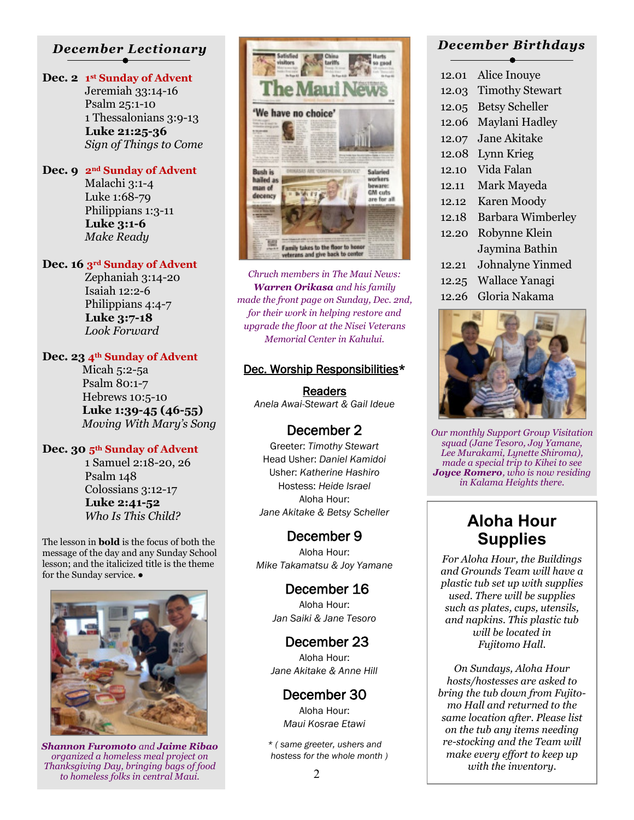#### *December Lectionary*

#### **Dec. 2 1 st Sunday of Advent**

 Jeremiah 33:14-16 Psalm 25:1-10 1 Thessalonians 3:9-13  **Luke 21:25-36** *Sign of Things to Come*

#### **Dec. 9 2nd Sunday of Advent**

 Malachi 3:1-4 Luke 1:68-79 Philippians 1:3-11  **Luke 3:1-6** *Make Ready*

#### **Dec. 16 3rd Sunday of Advent**

 Zephaniah 3:14-20 Isaiah 12:2-6 Philippians 4:4-7  **Luke 3:7-18** *Look Forward*

#### **Dec. 23 4th Sunday of Advent**

 Micah 5:2-5a Psalm 80:1-7 Hebrews 10:5-10  **Luke 1:39-45 (46-55)** *Moving With Mary's Song*

#### **Dec. 30 5th Sunday of Advent**

 1 Samuel 2:18-20, 26 Psalm 148 Colossians 3:12-17  **Luke 2:41-52**

*Who Is This Child?*

The lesson in **bold** is the focus of both the message of the day and any Sunday School lesson; and the italicized title is the theme for the Sunday service.  $\bullet$ 



*Shannon Furomoto and Jaime Ribao organized a homeless meal project on Thanksgiving Day, bringing bags of food to homeless folks in central Maui.*



*Chruch members in The Maui News: Warren Orikasa and his family made the front page on Sunday, Dec. 2nd, for their work in helping restore and upgrade the floor at the Nisei Veterans Memorial Center in Kahului.* 

#### Dec. Worship Responsibilities\*

Readers *Anela Awai-Stewart & Gail Ideue* 

#### December 2

Greeter: *Timothy Stewart* Head Usher: *Daniel Kamidoi*  Usher: *Katherine Hashiro* Hostess: *Heide Israel* Aloha Hour: *Jane Akitake & Betsy Scheller* 

### December 9

Aloha Hour: *Mike Takamatsu & Joy Yamane* 

#### December 16

Aloha Hour: *Jan Saiki & Jane Tesoro* 

#### December 23

Aloha Hour: *Jane Akitake & Anne Hill* 

December 30 Aloha Hour:

*Maui Kosrae Etawi* 

*\* ( same greeter, ushers and hostess for the whole month )* 

#### *December Birthdays*

- 12.01 Alice Inouye
- 12.03 Timothy Stewart
- 12.05 Betsy Scheller
- 12.06 Maylani Hadley
- 12.07 Jane Akitake
- 12.08 Lynn Krieg
- 12.10 Vida Falan
- 12.11 Mark Mayeda
- 12.12 Karen Moody
- 12.18 Barbara Wimberley
- 12.20 Robynne Klein Jaymina Bathin
- 12.21 Johnalyne Yinmed
- 12.25 Wallace Yanagi
- 12.26 Gloria Nakama



*Our monthly Support Group Visitation squad (Jane Tesoro, Joy Yamane, Lee Murakami, Lynette Shiroma), made a special trip to Kihei to see Joyce Romero, who is now residing in Kalama Heights there.*

# **Aloha Hour Supplies**

*For Aloha Hour, the Buildings and Grounds Team will have a plastic tub set up with supplies used. There will be supplies such as plates, cups, utensils, and napkins. This plastic tub will be located in Fujitomo Hall.* 

*On Sundays, Aloha Hour hosts/hostesses are asked to bring the tub down from Fujitomo Hall and returned to the same location after. Please list on the tub any items needing re-stocking and the Team will make every effort to keep up with the inventory.*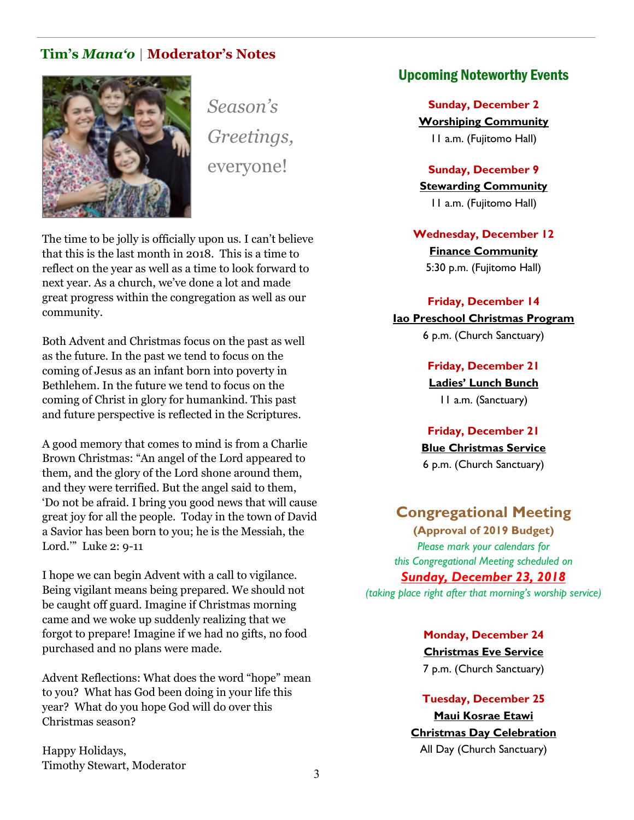#### **Tim's** *Mana'o* **| Moderator's Notes**



*Season's Greetings,* everyone!

The time to be jolly is officially upon us. I can't believe that this is the last month in 2018. This is a time to reflect on the year as well as a time to look forward to next year. As a church, we've done a lot and made great progress within the congregation as well as our community.

Both Advent and Christmas focus on the past as well as the future. In the past we tend to focus on the coming of Jesus as an infant born into poverty in Bethlehem. In the future we tend to focus on the coming of Christ in glory for humankind. This past and future perspective is reflected in the Scriptures.

A good memory that comes to mind is from a Charlie Brown Christmas: "An angel of the Lord appeared to them, and the glory of the Lord shone around them, and they were terrified. But the angel said to them, 'Do not be afraid. I bring you good news that will cause great joy for all the people. Today in the town of David a Savior has been born to you; he is the Messiah, the Lord.'" Luke 2: 9-11

I hope we can begin Advent with a call to vigilance. Being vigilant means being prepared. We should not be caught off guard. Imagine if Christmas morning came and we woke up suddenly realizing that we forgot to prepare! Imagine if we had no gifts, no food purchased and no plans were made.

Advent Reflections: What does the word "hope" mean to you? What has God been doing in your life this year? What do you hope God will do over this Christmas season?

Happy Holidays, Timothy Stewart, Moderator

#### Upcoming Noteworthy Events

**Sunday, December 2 Worshiping Community** 11 a.m. (Fujitomo Hall)

**Sunday, December 9 Stewarding Community** 11 a.m. (Fujitomo Hall)

**Wednesday, December 12 Finance Community** 5:30 p.m. (Fujitomo Hall)

#### **Friday, December 14 Iao Preschool Christmas Program**

6 p.m. (Church Sanctuary)

**Friday, December 21** 

**Ladies' Lunch Bunch** 11 a.m. (Sanctuary)

**Friday, December 21 Blue Christmas Service** 6 p.m. (Church Sanctuary)

#### **Congregational Meeting**

**(Approval of 2019 Budget)**  *Please mark your calendars for this Congregational Meeting scheduled on* 

#### *Sunday, December 23, 2018*

*(taking place right after that morning's worship service)*

**Monday, December 24 Christmas Eve Service** 7 p.m. (Church Sanctuary)

**Tuesday, December 25 Maui Kosrae Etawi Christmas Day Celebration** All Day (Church Sanctuary)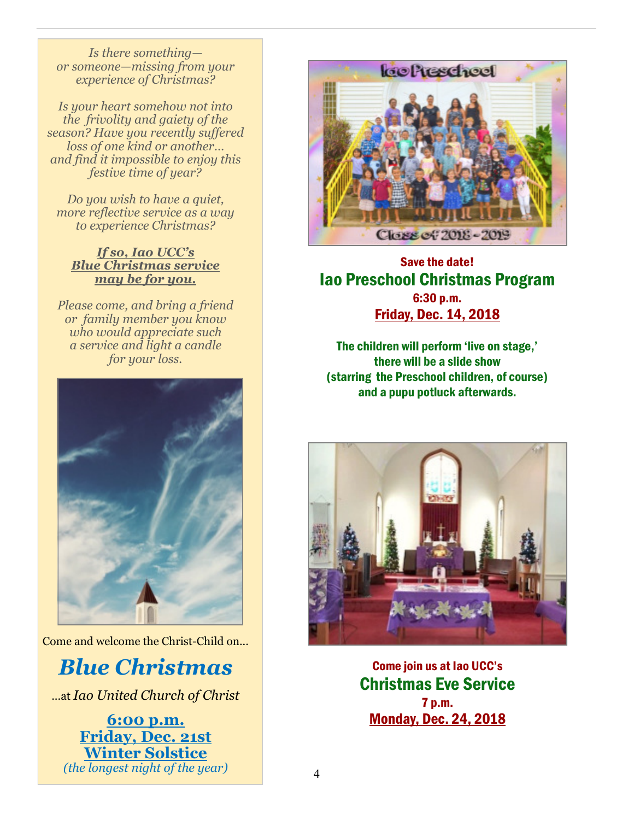*Is there something or someone—missing from your experience of Christmas?*

*Is your heart somehow not into the frivolity and gaiety of the season? Have you recently suffered loss of one kind or another… and find it impossible to enjoy this festive time of year?*

*Do you wish to have a quiet, more reflective service as a way to experience Christmas?*

#### *If so, Iao UCC's Blue Christmas service may be for you.*

*Please come, and bring a friend or family member you know who would appreciate such a service and light a candle for your loss.*



Come and welcome the Christ-Child on...

# *Blue Christmas*

...at *Iao United Church of Christ*

**6:00 p.m. Friday, Dec. 21st Winter Solstice** *(the longest night of the year)*



### Save the date! Iao Preschool Christmas Program 6:30 p.m. Friday, Dec. 14, 2018

The children will perform 'live on stage,' there will be a slide show (starring the Preschool children, of course) and a pupu potluck afterwards.



Come join us at Iao UCC's Christmas Eve Service 7 p.m. Monday, Dec. 24, 2018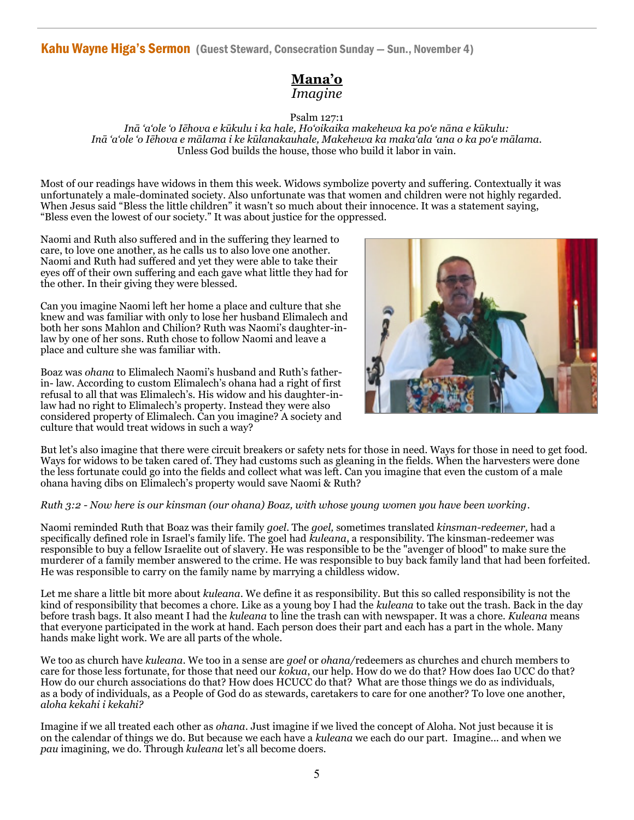Kahu Wayne Higa's Sermon (Guest Steward, Consecration Sunday — Sun., November 4)

#### **Mana'o** *Imagine*

Psalm 127:1

*Inā 'a'ole 'o Iēhova e kūkulu i ka hale, Ho'oikaika makehewa ka po'e nāna e kūkulu: Inā 'a'ole 'o Iēhova e mālama i ke kūlanakauhale, Makehewa ka maka'ala 'ana o ka po'e mālama.* Unless God builds the house, those who build it labor in vain.

Most of our readings have widows in them this week. Widows symbolize poverty and suffering. Contextually it was unfortunately a male-dominated society. Also unfortunate was that women and children were not highly regarded. When Jesus said "Bless the little children" it wasn't so much about their innocence. It was a statement saying, "Bless even the lowest of our society." It was about justice for the oppressed.

Naomi and Ruth also suffered and in the suffering they learned to care, to love one another, as he calls us to also love one another. Naomi and Ruth had suffered and yet they were able to take their eyes off of their own suffering and each gave what little they had for the other. In their giving they were blessed.

Can you imagine Naomi left her home a place and culture that she knew and was familiar with only to lose her husband Elimalech and both her sons Mahlon and Chilion? Ruth was Naomi's daughter-inlaw by one of her sons. Ruth chose to follow Naomi and leave a place and culture she was familiar with.

Boaz was *ohana* to Elimalech Naomi's husband and Ruth's fatherin- law. According to custom Elimalech's ohana had a right of first refusal to all that was Elimalech's. His widow and his daughter-inlaw had no right to Elimalech's property. Instead they were also considered property of Elimalech. Can you imagine? A society and culture that would treat widows in such a way?



But let's also imagine that there were circuit breakers or safety nets for those in need. Ways for those in need to get food. Ways for widows to be taken cared of. They had customs such as gleaning in the fields. When the harvesters were done the less fortunate could go into the fields and collect what was left. Can you imagine that even the custom of a male ohana having dibs on Elimalech's property would save Naomi & Ruth?

#### *Ruth 3:2 - Now here is our kinsman (our ohana) Boaz, with whose young women you have been working*.

Naomi reminded Ruth that Boaz was their family *goel*. The *goel,* sometimes translated *kinsman-redeemer,* had a specifically defined role in Israel's family life. The goel had *kuleana*, a responsibility. The kinsman-redeemer was responsible to buy a fellow Israelite out of slavery. He was responsible to be the "avenger of blood" to make sure the murderer of a family member answered to the crime. He was responsible to buy back family land that had been forfeited. He was responsible to carry on the family name by marrying a childless widow.

Let me share a little bit more about *kuleana*. We define it as responsibility. But this so called responsibility is not the kind of responsibility that becomes a chore. Like as a young boy I had the *kuleana* to take out the trash. Back in the day before trash bags. It also meant I had the *kuleana* to line the trash can with newspaper. It was a chore. *Kuleana* means that everyone participated in the work at hand. Each person does their part and each has a part in the whole. Many hands make light work. We are all parts of the whole.

We too as church have *kuleana*. We too in a sense are *goel* or *ohana/*redeemers as churches and church members to care for those less fortunate, for those that need our *kokua*, our help. How do we do that? How does Iao UCC do that? How do our church associations do that? How does HCUCC do that? What are those things we do as individuals, as a body of individuals, as a People of God do as stewards, caretakers to care for one another? To love one another, *aloha kekahi i kekahi?*

Imagine if we all treated each other as *ohana*. Just imagine if we lived the concept of Aloha. Not just because it is on the calendar of things we do. But because we each have a *kuleana* we each do our part. Imagine... and when we *pau* imagining, we do. Through *kuleana* let's all become doers.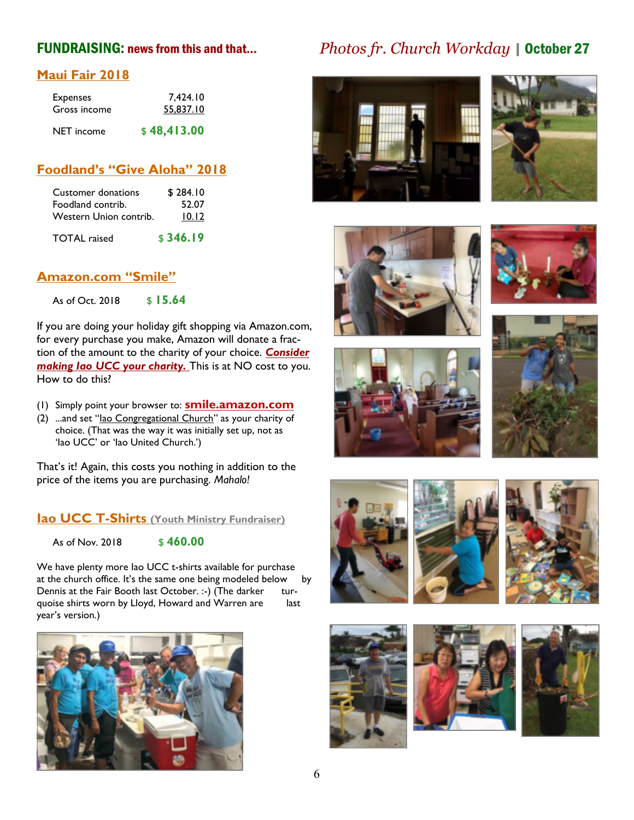#### **Maui Fair 2018**

| <b>Expenses</b> | 7,424.10    |
|-----------------|-------------|
| Gross income    | 55,837.10   |
| NET income      | \$48,413.00 |

#### **Foodland's "Give Aloha" 2018**

| Customer donations     | \$284.10 |
|------------------------|----------|
| Foodland contrib.      | 52.07    |
| Western Union contrib. | 10.12    |
| <b>TOTAL</b> raised    | \$346.19 |

#### **Amazon.com "Smile"**

As of Oct. 2018 \$ 15.64

If you are doing your holiday gift shopping via Amazon.com, for every purchase you make, Amazon will donate a fraction of the amount to the charity of your choice. *Consider making Iao UCC your charity.* This is at NO cost to you. How to do this?

- (1) Simply point your browser to: **smile.amazon.com**
- (2) ...and set "Iao Congregational Church" as your charity of choice. (That was the way it was initially set up, not as 'Iao UCC' or 'Iao United Church.')

That's it! Again, this costs you nothing in addition to the price of the items you are purchasing. *Mahalo!* 

**Iao UCC T-Shirts (Youth Ministry Fundraiser)**

As of Nov. 2018 \$460.00

We have plenty more Iao UCC t-shirts available for purchase at the church office. It's the same one being modeled below by Dennis at the Fair Booth last October. :-) (The darker turquoise shirts worn by Lloyd, Howard and Warren are last year's version.)



# FUNDRAISING: news from this and that... *Photos fr. Church Workday* | October 27























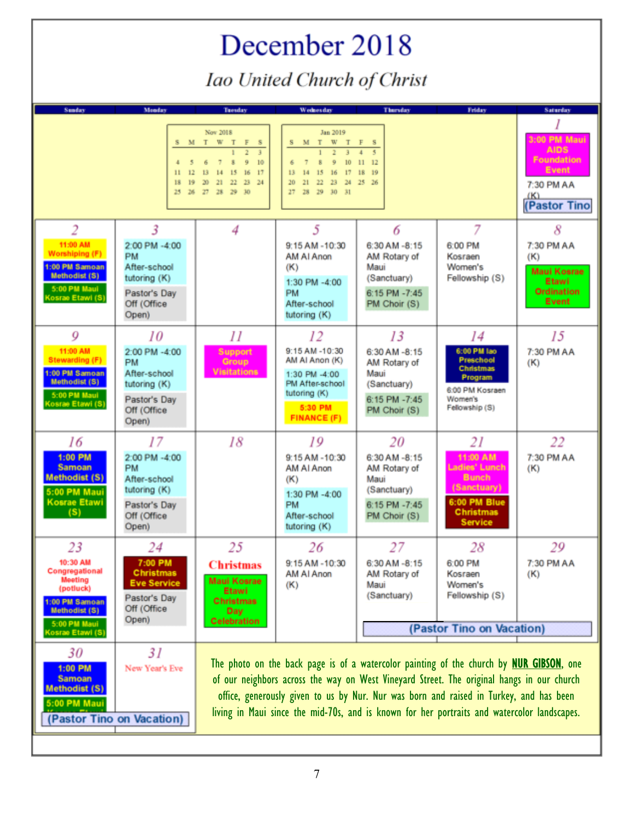# December 2018 Iao United Church of Christ

| <b>Sunday</b>                                                                                                                          | Monday                                                                                                   | <b>Tuesday</b>                                                                                                                                                                                                                                                                                                                                                                        | Wednesday                                                                                                                                     | <b>Thursday</b>                                                                                 | <b>Friday</b>                                                                                                        | <b>Saturday</b>                                                                            |
|----------------------------------------------------------------------------------------------------------------------------------------|----------------------------------------------------------------------------------------------------------|---------------------------------------------------------------------------------------------------------------------------------------------------------------------------------------------------------------------------------------------------------------------------------------------------------------------------------------------------------------------------------------|-----------------------------------------------------------------------------------------------------------------------------------------------|-------------------------------------------------------------------------------------------------|----------------------------------------------------------------------------------------------------------------------|--------------------------------------------------------------------------------------------|
|                                                                                                                                        | 4<br>5 <sub>1</sub><br>12<br>11<br>18<br>19                                                              | Nov 2018<br>S M T W T F S<br>$\overline{7}$<br>9<br>10 <sub>1</sub><br>$\overline{\mathbf{x}}$<br>6<br>13 14 15 16 17<br>20 21 22 23 24<br>25 26 27 28 29 30                                                                                                                                                                                                                          | Jan 2019<br>S M T W T F S<br>$\overline{7}$<br>10 <sup>°</sup><br>9<br>6<br>15 16 17 18 19<br>13 14<br>20 21 22 23 24 25 26<br>27 28 29 30 31 | $\mathbf{H}$<br>12                                                                              |                                                                                                                      | 3:00 PM Maui<br><b>AIDS</b><br>Foundation<br>Event<br>7:30 PM AA<br>(K)<br>(Pastor Tino    |
| 2<br>11:00 AM<br>Worshiping (F)<br>1:00 PM Samoan<br>Methodist (S)<br>5:00 PM Maui<br>Kosrae Etawi (S)                                 | 3<br>2:00 PM -4:00<br><b>PM</b><br>After-school<br>tutoring (K)<br>Pastor's Day<br>Off (Office<br>Open)  | 4                                                                                                                                                                                                                                                                                                                                                                                     | 5<br>$9:15$ AM -10:30<br>AM AI Anon<br>(K)<br>1:30 PM -4:00<br><b>PM</b><br>After-school<br>tutoring (K)                                      | 6<br>6:30 AM -8:15<br>AM Rotary of<br>Maui<br>(Sanctuary)<br>6:15 PM -7:45<br>PM Choir (S)      | 7<br>6:00 PM<br>Kosraen<br>Women's<br>Fellowship (S)                                                                 | 8<br>7:30 PM AA<br>(K)<br><b>Maui Kosrae</b><br>Etawi<br><b>Ordination</b><br><b>Event</b> |
| 9<br>11:00 AM<br><b>Stewarding (F)</b><br>1:00 PM Samoan<br>Methodist (S)<br>5:00 PM Maui<br>Kosrae Etawi (S)                          | 10<br>2:00 PM -4:00<br><b>PM</b><br>After-school<br>tutoring (K)<br>Pastor's Day<br>Off (Office<br>Open) | II<br>Support<br>Group<br><b>Visitations</b>                                                                                                                                                                                                                                                                                                                                          | 12<br>9:15 AM -10:30<br>AM AI Anon (K)<br>1:30 PM -4:00<br>PM After-school<br>tutoring (K)<br>5:30 PM<br><b>FINANCE (F)</b>                   | 13<br>6:30 AM -8:15<br>AM Rotary of<br>Maui<br>(Sanctuary)<br>6:15 PM -7:45<br>PM Choir (S)     | 14<br>6:00 PM lao<br>Preschool<br><b>Christmas</b><br>Program<br>6:00 PM Kosraen<br>Women's<br>Fellowship (S)        | 15<br>7:30 PM AA<br>(K)                                                                    |
| 16<br>1:00 PM<br><b>Samoan</b><br><b>Methodist (S)</b><br>5:00 PM Maui<br><b>Kosrae Etawi</b><br>(S)                                   | 17<br>2:00 PM -4:00<br><b>PM</b><br>After-school<br>tutoring (K)<br>Pastor's Day<br>Off (Office<br>Open) | 18                                                                                                                                                                                                                                                                                                                                                                                    | 19<br>$9:15$ AM -10:30<br>AM AI Anon<br>(K)<br>1:30 PM -4:00<br><b>PM</b><br>After-school<br>tutoring (K)                                     | 20<br>$6:30$ AM $-8:15$<br>AM Rotary of<br>Maui<br>(Sanctuary)<br>6:15 PM -7:45<br>PM Choir (S) | 21<br>11:00 AM<br>Ladies' Lunch<br><b>Bunch</b><br>(Sanctuary)<br>6:00 PM Blue<br><b>Christmas</b><br><b>Service</b> | 22<br>7:30 PM AA<br>(K)                                                                    |
| 23<br>10:30 AM<br>Congregational<br><b>Meeting</b><br>(potluck)<br>1:00 PM Samoan<br>Methodist (S)<br>5:00 PM Maui<br>(osrae Etawi (S) | 24<br>7:00 PM<br><b>Christmas</b><br><b>Eve Service</b><br>Pastor's Day<br>Off (Office<br>Open)          | 25<br><b>Christmas</b><br><b>Maui Kosrae</b><br>Etawi<br><b>Christmas</b><br>Day<br><b>Celebration</b>                                                                                                                                                                                                                                                                                | 26<br>$9:15$ AM -10:30<br>AM AI Anon<br>(K)                                                                                                   | 27<br>$6:30$ AM $-8:15$<br>AM Rotary of<br>Maui<br>(Sanctuary)                                  | 28<br>6:00 PM<br>Kosraen<br>Women's<br>Fellowship (S)<br>(Pastor Tino on Vacation)                                   | 29<br>7:30 PM AA<br>(K)                                                                    |
| 30<br>1:00 PM<br><b>Samoan</b><br><b>Methodist (S)</b><br>5:00 PM Maui                                                                 | 31<br>New Year's Eve<br>(Pastor Tino on Vacation)                                                        | The photo on the back page is of a watercolor painting of the church by <b>NUR GIBSON</b> , one<br>of our neighbors across the way on West Vineyard Street. The original hangs in our church<br>office, generously given to us by Nur. Nur was born and raised in Turkey, and has been<br>living in Maui since the mid-70s, and is known for her portraits and watercolor landscapes. |                                                                                                                                               |                                                                                                 |                                                                                                                      |                                                                                            |